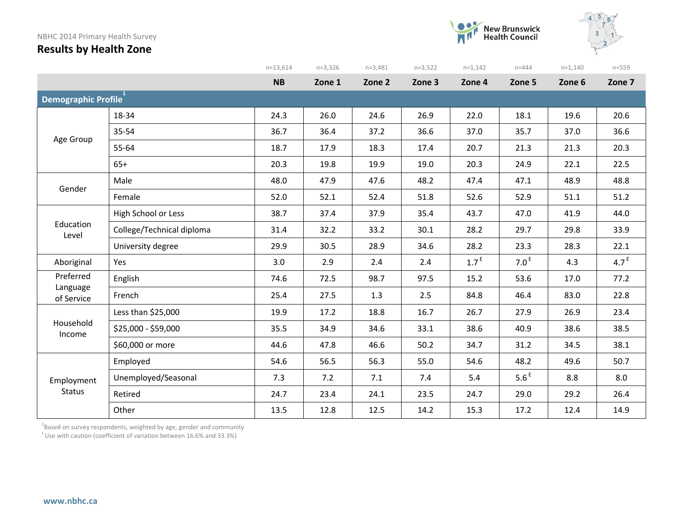#### NBHC 2014 Primary Health Survey







|                        |                           | $n=13,614$ | $n=3,326$ | $n=3,481$ | $n=3,522$ | $n=1,142$        | $n = 444$        | $n=1,140$ | $n = 559$        |
|------------------------|---------------------------|------------|-----------|-----------|-----------|------------------|------------------|-----------|------------------|
|                        |                           | <b>NB</b>  | Zone 1    | Zone 2    | Zone 3    | Zone 4           | Zone 5           | Zone 6    | Zone 7           |
| Demographic Profile    |                           |            |           |           |           |                  |                  |           |                  |
|                        | 18-34                     | 24.3       | 26.0      | 24.6      | 26.9      | 22.0             | 18.1             | 19.6      | 20.6             |
| Age Group              | 35-54                     | 36.7       | 36.4      | 37.2      | 36.6      | 37.0             | 35.7             | 37.0      | 36.6             |
|                        | 55-64                     | 18.7       | 17.9      | 18.3      | 17.4      | 20.7             | 21.3             | 21.3      | 20.3             |
|                        | $65+$                     | 20.3       | 19.8      | 19.9      | 19.0      | 20.3             | 24.9             | 22.1      | 22.5             |
| Gender                 | Male                      | 48.0       | 47.9      | 47.6      | 48.2      | 47.4             | 47.1             | 48.9      | 48.8             |
|                        | Female                    | 52.0       | 52.1      | 52.4      | 51.8      | 52.6             | 52.9             | 51.1      | 51.2             |
|                        | High School or Less       | 38.7       | 37.4      | 37.9      | 35.4      | 43.7             | 47.0             | 41.9      | 44.0             |
| Education<br>Level     | College/Technical diploma | 31.4       | 32.2      | 33.2      | 30.1      | 28.2             | 29.7             | 29.8      | 33.9             |
|                        | University degree         | 29.9       | 30.5      | 28.9      | 34.6      | 28.2             | 23.3             | 28.3      | 22.1             |
| Aboriginal             | Yes                       | 3.0        | 2.9       | 2.4       | 2.4       | 1.7 <sup>E</sup> | 7.0 <sup>E</sup> | 4.3       | 4.7 <sup>E</sup> |
| Preferred              | English                   | 74.6       | 72.5      | 98.7      | 97.5      | 15.2             | 53.6             | 17.0      | 77.2             |
| Language<br>of Service | French                    | 25.4       | 27.5      | 1.3       | 2.5       | 84.8             | 46.4             | 83.0      | 22.8             |
|                        | Less than \$25,000        | 19.9       | 17.2      | 18.8      | 16.7      | 26.7             | 27.9             | 26.9      | 23.4             |
| Household<br>Income    | \$25,000 - \$59,000       | 35.5       | 34.9      | 34.6      | 33.1      | 38.6             | 40.9             | 38.6      | 38.5             |
|                        | \$60,000 or more          | 44.6       | 47.8      | 46.6      | 50.2      | 34.7             | 31.2             | 34.5      | 38.1             |
|                        | Employed                  | 54.6       | 56.5      | 56.3      | 55.0      | 54.6             | 48.2             | 49.6      | 50.7             |
| Employment             | Unemployed/Seasonal       | 7.3        | 7.2       | 7.1       | 7.4       | 5.4              | 5.6 <sup>E</sup> | 8.8       | 8.0              |
| <b>Status</b>          | Retired                   | 24.7       | 23.4      | 24.1      | 23.5      | 24.7             | 29.0             | 29.2      | 26.4             |
|                        | Other                     | 13.5       | 12.8      | 12.5      | 14.2      | 15.3             | 17.2             | 12.4      | 14.9             |

 $^4$ Based on survey respondents, weighted by age, gender and community

 $E$  Use with caution (coefficient of variation between 16.6% and 33.3%)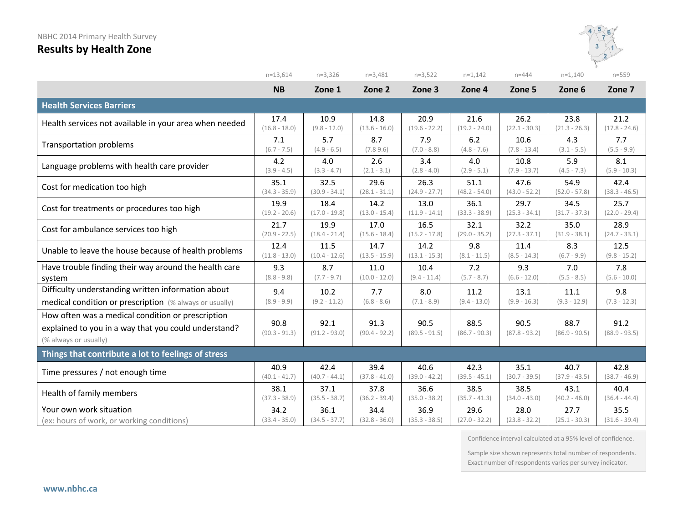

|                                                                                                                                    | $n=13,614$              | $n=3,326$               | $n=3,481$               | $n=3,522$               | $n=1,142$               | $n = 444$               | $n=1,140$               | $n = 559$               |
|------------------------------------------------------------------------------------------------------------------------------------|-------------------------|-------------------------|-------------------------|-------------------------|-------------------------|-------------------------|-------------------------|-------------------------|
|                                                                                                                                    | <b>NB</b>               | Zone 1                  | Zone 2                  | Zone 3                  | Zone 4                  | Zone 5                  | Zone 6                  | Zone 7                  |
| <b>Health Services Barriers</b>                                                                                                    |                         |                         |                         |                         |                         |                         |                         |                         |
| Health services not available in your area when needed                                                                             | 17.4                    | 10.9                    | 14.8                    | 20.9                    | 21.6                    | 26.2                    | 23.8                    | 21.2                    |
|                                                                                                                                    | $(16.8 - 18.0)$         | $(9.8 - 12.0)$          | $(13.6 - 16.0)$         | $(19.6 - 22.2)$         | $(19.2 - 24.0)$         | $(22.1 - 30.3)$         | $(21.3 - 26.3)$         | $(17.8 - 24.6)$         |
| <b>Transportation problems</b>                                                                                                     | 7.1                     | 5.7                     | 8.7                     | 7.9                     | 6.2                     | 10.6                    | 4.3                     | 7.7                     |
|                                                                                                                                    | $(6.7 - 7.5)$           | $(4.9 - 6.5)$           | (7.89.6)                | $(7.0 - 8.8)$           | $(4.8 - 7.6)$           | $(7.8 - 13.4)$          | $(3.1 - 5.5)$           | $(5.5 - 9.9)$           |
| Language problems with health care provider                                                                                        | 4.2                     | 4.0                     | 2.6                     | 3.4                     | 4.0                     | 10.8                    | 5.9                     | 8.1                     |
|                                                                                                                                    | $(3.9 - 4.5)$           | $(3.3 - 4.7)$           | $(2.1 - 3.1)$           | $(2.8 - 4.0)$           | $(2.9 - 5.1)$           | $(7.9 - 13.7)$          | $(4.5 - 7.3)$           | $(5.9 - 10.3)$          |
| Cost for medication too high                                                                                                       | 35.1                    | 32.5                    | 29.6                    | 26.3                    | 51.1                    | 47.6                    | 54.9                    | 42.4                    |
|                                                                                                                                    | $(34.3 - 35.9)$         | $(30.9 - 34.1)$         | $(28.1 - 31.1)$         | $(24.9 - 27.7)$         | $(48.2 - 54.0)$         | $(43.0 - 52.2)$         | $(52.0 - 57.8)$         | $(38.3 - 46.5)$         |
| Cost for treatments or procedures too high                                                                                         | 19.9                    | 18.4                    | 14.2                    | 13.0                    | 36.1                    | 29.7                    | 34.5                    | 25.7                    |
|                                                                                                                                    | $(19.2 - 20.6)$         | $(17.0 - 19.8)$         | $(13.0 - 15.4)$         | $(11.9 - 14.1)$         | $(33.3 - 38.9)$         | $(25.3 - 34.1)$         | $(31.7 - 37.3)$         | $(22.0 - 29.4)$         |
| Cost for ambulance services too high                                                                                               | 21.7                    | 19.9                    | 17.0                    | 16.5                    | 32.1                    | 32.2                    | 35.0                    | 28.9                    |
|                                                                                                                                    | $(20.9 - 22.5)$         | $(18.4 - 21.4)$         | $(15.6 - 18.4)$         | $(15.2 - 17.8)$         | $(29.0 - 35.2)$         | $(27.3 - 37.1)$         | $(31.9 - 38.1)$         | $(24.7 - 33.1)$         |
| Unable to leave the house because of health problems                                                                               | 12.4                    | 11.5                    | 14.7                    | 14.2                    | 9.8                     | 11.4                    | 8.3                     | 12.5                    |
|                                                                                                                                    | $(11.8 - 13.0)$         | $(10.4 - 12.6)$         | $(13.5 - 15.9)$         | $(13.1 - 15.3)$         | $(8.1 - 11.5)$          | $(8.5 - 14.3)$          | $(6.7 - 9.9)$           | $(9.8 - 15.2)$          |
| Have trouble finding their way around the health care                                                                              | 9.3                     | 8.7                     | 11.0                    | 10.4                    | 7.2                     | 9.3                     | 7.0                     | 7.8                     |
| system                                                                                                                             | $(8.8 - 9.8)$           | $(7.7 - 9.7)$           | $(10.0 - 12.0)$         | $(9.4 - 11.4)$          | $(5.7 - 8.7)$           | $(6.6 - 12.0)$          | $(5.5 - 8.5)$           | $(5.6 - 10.0)$          |
| Difficulty understanding written information about                                                                                 | 9.4                     | 10.2                    | 7.7                     | 8.0                     | 11.2                    | 13.1                    | 11.1                    | 9.8                     |
| medical condition or prescription (% always or usually)                                                                            | $(8.9 - 9.9)$           | $(9.2 - 11.2)$          | $(6.8 - 8.6)$           | $(7.1 - 8.9)$           | $(9.4 - 13.0)$          | $(9.9 - 16.3)$          | $(9.3 - 12.9)$          | $(7.3 - 12.3)$          |
| How often was a medical condition or prescription<br>explained to you in a way that you could understand?<br>(% always or usually) | 90.8<br>$(90.3 - 91.3)$ | 92.1<br>$(91.2 - 93.0)$ | 91.3<br>$(90.4 - 92.2)$ | 90.5<br>$(89.5 - 91.5)$ | 88.5<br>$(86.7 - 90.3)$ | 90.5<br>$(87.8 - 93.2)$ | 88.7<br>$(86.9 - 90.5)$ | 91.2<br>$(88.9 - 93.5)$ |
| Things that contribute a lot to feelings of stress                                                                                 |                         |                         |                         |                         |                         |                         |                         |                         |
| Time pressures / not enough time                                                                                                   | 40.9                    | 42.4                    | 39.4                    | 40.6                    | 42.3                    | 35.1                    | 40.7                    | 42.8                    |
|                                                                                                                                    | $(40.1 - 41.7)$         | $(40.7 - 44.1)$         | $(37.8 - 41.0)$         | $(39.0 - 42.2)$         | $(39.5 - 45.1)$         | $(30.7 - 39.5)$         | $(37.9 - 43.5)$         | $(38.7 - 46.9)$         |
| Health of family members                                                                                                           | 38.1                    | 37.1                    | 37.8                    | 36.6                    | 38.5                    | 38.5                    | 43.1                    | 40.4                    |
|                                                                                                                                    | $(37.3 - 38.9)$         | $(35.5 - 38.7)$         | $(36.2 - 39.4)$         | $(35.0 - 38.2)$         | $(35.7 - 41.3)$         | $(34.0 - 43.0)$         | $(40.2 - 46.0)$         | $(36.4 - 44.4)$         |
| Your own work situation                                                                                                            | 34.2                    | 36.1                    | 34.4                    | 36.9                    | 29.6                    | 28.0                    | 27.7                    | 35.5                    |
| (ex: hours of work, or working conditions)                                                                                         | $(33.4 - 35.0)$         | $(34.5 - 37.7)$         | $(32.8 - 36.0)$         | $(35.3 - 38.5)$         | $(27.0 - 32.2)$         | $(23.8 - 32.2)$         | $(25.1 - 30.3)$         | $(31.6 - 39.4)$         |

Confidence interval calculated at a 95% level of confidence.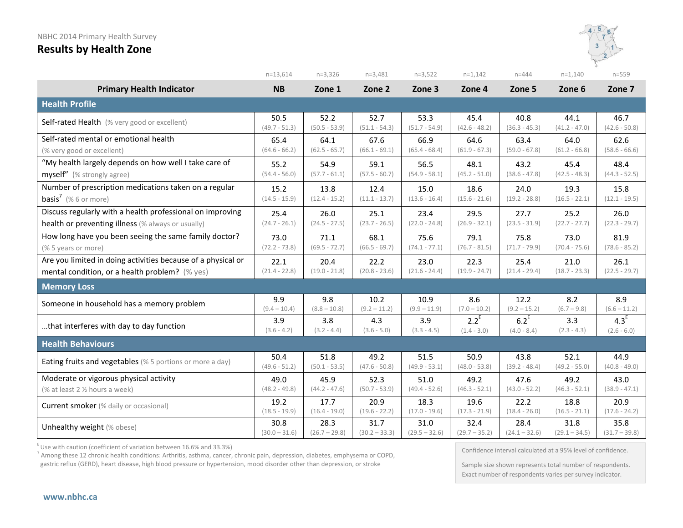

|                                                              | $n=13,614$      | $n=3,326$       | $n=3,481$       | $n=3,522$       | $n=1,142$       | $n = 444$       | $n=1,140$       | $n = 559$        |
|--------------------------------------------------------------|-----------------|-----------------|-----------------|-----------------|-----------------|-----------------|-----------------|------------------|
| <b>Primary Health Indicator</b>                              | <b>NB</b>       | Zone 1          | Zone 2          | Zone 3          | Zone 4          | Zone 5          | Zone 6          | Zone 7           |
| <b>Health Profile</b>                                        |                 |                 |                 |                 |                 |                 |                 |                  |
| Self-rated Health (% very good or excellent)                 | 50.5            | 52.2            | 52.7            | 53.3            | 45.4            | 40.8            | 44.1            | 46.7             |
|                                                              | $(49.7 - 51.3)$ | $(50.5 - 53.9)$ | $(51.1 - 54.3)$ | $(51.7 - 54.9)$ | $(42.6 - 48.2)$ | $(36.3 - 45.3)$ | $(41.2 - 47.0)$ | $(42.6 - 50.8)$  |
| Self-rated mental or emotional health                        | 65.4            | 64.1            | 67.6            | 66.9            | 64.6            | 63.4            | 64.0            | 62.6             |
| (% very good or excellent)                                   | $(64.6 - 66.2)$ | $(62.5 - 65.7)$ | $(66.1 - 69.1)$ | $(65.4 - 68.4)$ | $(61.9 - 67.3)$ | $(59.0 - 67.8)$ | $(61.2 - 66.8)$ | $(58.6 - 66.6)$  |
| "My health largely depends on how well I take care of        | 55.2            | 54.9            | 59.1            | 56.5            | 48.1            | 43.2            | 45.4            | 48.4             |
| myself" (% strongly agree)                                   | $(54.4 - 56.0)$ | $(57.7 - 61.1)$ | $(57.5 - 60.7)$ | $(54.9 - 58.1)$ | $(45.2 - 51.0)$ | $(38.6 - 47.8)$ | $(42.5 - 48.3)$ | $(44.3 - 52.5)$  |
| Number of prescription medications taken on a regular        | 15.2            | 13.8            | 12.4            | 15.0            | 18.6            | 24.0            | 19.3            | 15.8             |
| <b>basis<sup>7</sup></b> (% 6 or more)                       | $(14.5 - 15.9)$ | $(12.4 - 15.2)$ | $(11.1 - 13.7)$ | $(13.6 - 16.4)$ | $(15.6 - 21.6)$ | $(19.2 - 28.8)$ | $(16.5 - 22.1)$ | $(12.1 - 19.5)$  |
| Discuss regularly with a health professional on improving    | 25.4            | 26.0            | 25.1            | 23.4            | 29.5            | 27.7            | 25.2            | 26.0             |
| health or preventing illness (% always or usually)           | $(24.7 - 26.1)$ | $(24.5 - 27.5)$ | $(23.7 - 26.5)$ | $(22.0 - 24.8)$ | $(26.9 - 32.1)$ | $(23.5 - 31.9)$ | $(22.7 - 27.7)$ | $(22.3 - 29.7)$  |
| How long have you been seeing the same family doctor?        | 73.0            | 71.1            | 68.1            | 75.6            | 79.1            | 75.8            | 73.0            | 81.9             |
| (% 5 years or more)                                          | $(72.2 - 73.8)$ | $(69.5 - 72.7)$ | $(66.5 - 69.7)$ | $(74.1 - 77.1)$ | $(76.7 - 81.5)$ | $(71.7 - 79.9)$ | $(70.4 - 75.6)$ | $(78.6 - 85.2)$  |
| Are you limited in doing activities because of a physical or | 22.1            | 20.4            | 22.2            | 23.0            | 22.3            | 25.4            | 21.0            | 26.1             |
| mental condition, or a health problem? (% yes)               | $(21.4 - 22.8)$ | $(19.0 - 21.8)$ | $(20.8 - 23.6)$ | $(21.6 - 24.4)$ | $(19.9 - 24.7)$ | $(21.4 - 29.4)$ | $(18.7 - 23.3)$ | $(22.5 - 29.7)$  |
| <b>Memory Loss</b>                                           |                 |                 |                 |                 |                 |                 |                 |                  |
| Someone in household has a memory problem                    | 9.9             | 9.8             | 10.2            | 10.9            | 8.6             | 12.2            | 8.2             | 8.9              |
|                                                              | $(9.4 - 10.4)$  | $(8.8 - 10.8)$  | $(9.2 - 11.2)$  | $(9.9 - 11.9)$  | $(7.0 - 10.2)$  | $(9.2 - 15.2)$  | $(6.7 - 9.8)$   | $(6.6 - 11.2)$   |
| that interferes with day to day function                     | 3.9             | 3.8             | 4.3             | 3.9             | $2.2^E$         | $6.2^E$         | 3.3             | 4.3 <sup>E</sup> |
|                                                              | $(3.6 - 4.2)$   | $(3.2 - 4.4)$   | $(3.6 - 5.0)$   | $(3.3 - 4.5)$   | $(1.4 - 3.0)$   | $(4.0 - 8.4)$   | $(2.3 - 4.3)$   | $(2.6 - 6.0)$    |
| <b>Health Behaviours</b>                                     |                 |                 |                 |                 |                 |                 |                 |                  |
| Eating fruits and vegetables (% 5 portions or more a day)    | 50.4            | 51.8            | 49.2            | 51.5            | 50.9            | 43.8            | 52.1            | 44.9             |
|                                                              | $(49.6 - 51.2)$ | $(50.1 - 53.5)$ | $(47.6 - 50.8)$ | $(49.9 - 53.1)$ | $(48.0 - 53.8)$ | $(39.2 - 48.4)$ | $(49.2 - 55.0)$ | $(40.8 - 49.0)$  |
| Moderate or vigorous physical activity                       | 49.0            | 45.9            | 52.3            | 51.0            | 49.2            | 47.6            | 49.2            | 43.0             |
| (% at least 2 % hours a week)                                | $(48.2 - 49.8)$ | $(44.2 - 47.6)$ | $(50.7 - 53.9)$ | $(49.4 - 52.6)$ | $(46.3 - 52.1)$ | $(43.0 - 52.2)$ | $(46.3 - 52.1)$ | $(38.9 - 47.1)$  |
| <b>Current smoker</b> (% daily or occasional)                | 19.2            | 17.7            | 20.9            | 18.3            | 19.6            | 22.2            | 18.8            | 20.9             |
|                                                              | $(18.5 - 19.9)$ | $(16.4 - 19.0)$ | $(19.6 - 22.2)$ | $(17.0 - 19.6)$ | $(17.3 - 21.9)$ | $(18.4 - 26.0)$ | $(16.5 - 21.1)$ | $(17.6 - 24.2)$  |
| Unhealthy weight (% obese)                                   | 30.8            | 28.3            | 31.7            | 31.0            | 32.4            | 28.4            | 31.8            | 35.8             |
|                                                              | $(30.0 - 31.6)$ | $(26.7 - 29.8)$ | $(30.2 - 33.3)$ | $(29.5 - 32.6)$ | $(29.7 - 35.2)$ | $(24.1 - 32.6)$ | $(29.1 - 34.5)$ | $(31.7 - 39.8)$  |

 $E$  Use with caution (coefficient of variation between 16.6% and 33.3%)

<sup>7</sup> Among these 12 chronic health conditions: Arthritis, asthma, cancer, chronic pain, depression, diabetes, emphysema or COPD, gastric reflux (GERD), heart disease, high blood pressure or hypertension, mood disorder other than depression, or stroke

Confidence interval calculated at a 95% level of confidence.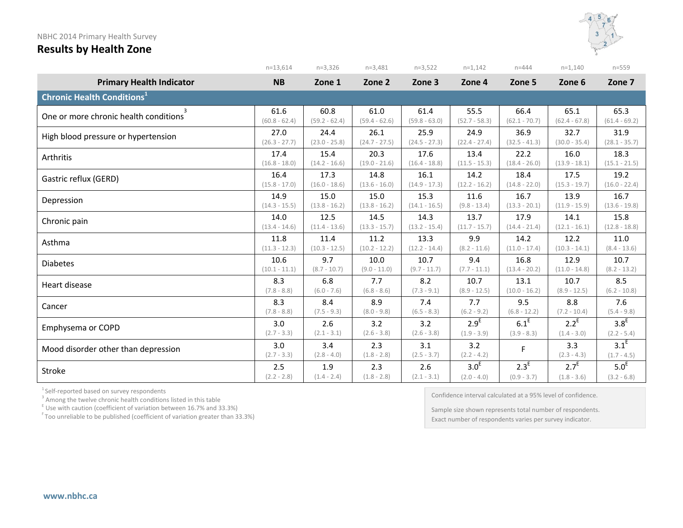

|                                              | $n=13,614$           | $n=3,326$            | $n=3,481$            | $n=3,522$            | $n=1,142$            | $n = 444$        | $n=1,140$            | $n = 559$                |
|----------------------------------------------|----------------------|----------------------|----------------------|----------------------|----------------------|------------------|----------------------|--------------------------|
| <b>Primary Health Indicator</b>              | <b>NB</b>            | Zone 1               | Zone 2               | Zone 3               | Zone 4               | Zone 5           | Zone 6               | Zone 7                   |
| <b>Chronic Health Conditions<sup>1</sup></b> |                      |                      |                      |                      |                      |                  |                      |                          |
| 3                                            | 61.6                 | 60.8                 | 61.0                 | 61.4                 | 55.5                 | 66.4             | 65.1                 | 65.3                     |
| One or more chronic health conditions        | $(60.8 - 62.4)$      | $(59.2 - 62.4)$      | $(59.4 - 62.6)$      | $(59.8 - 63.0)$      | $(52.7 - 58.3)$      | $(62.1 - 70.7)$  | $(62.4 - 67.8)$      | $(61.4 - 69.2)$          |
| High blood pressure or hypertension          | 27.0                 | 24.4                 | 26.1                 | 25.9                 | 24.9                 | 36.9             | 32.7                 | 31.9                     |
|                                              | $(26.3 - 27.7)$      | $(23.0 - 25.8)$      | $(24.7 - 27.5)$      | $(24.5 - 27.3)$      | $(22.4 - 27.4)$      | $(32.5 - 41.3)$  | $(30.0 - 35.4)$      | $(28.1 - 35.7)$          |
| Arthritis                                    | 17.4                 | 15.4                 | 20.3                 | 17.6                 | 13.4                 | 22.2             | 16.0                 | 18.3                     |
|                                              | $(16.8 - 18.0)$      | $(14.2 - 16.6)$      | $(19.0 - 21.6)$      | $(16.4 - 18.8)$      | $(11.5 - 15.3)$      | $(18.4 - 26.0)$  | $(13.9 - 18.1)$      | $(15.1 - 21.5)$          |
| Gastric reflux (GERD)                        | 16.4                 | 17.3                 | 14.8                 | 16.1                 | 14.2                 | 18.4             | 17.5                 | 19.2                     |
|                                              | $(15.8 - 17.0)$      | $(16.0 - 18.6)$      | $(13.6 - 16.0)$      | $(14.9 - 17.3)$      | $(12.2 - 16.2)$      | $(14.8 - 22.0)$  | $(15.3 - 19.7)$      | $(16.0 - 22.4)$          |
| Depression                                   | 14.9                 | 15.0                 | 15.0                 | 15.3                 | 11.6                 | 16.7             | 13.9                 | 16.7                     |
|                                              | $(14.3 - 15.5)$      | $(13.8 - 16.2)$      | $(13.8 - 16.2)$      | $(14.1 - 16.5)$      | $(9.8 - 13.4)$       | $(13.3 - 20.1)$  | $(11.9 - 15.9)$      | $(13.6 - 19.8)$          |
| Chronic pain                                 | 14.0                 | 12.5                 | 14.5                 | 14.3                 | 13.7                 | 17.9             | 14.1                 | 15.8                     |
|                                              | $(13.4 - 14.6)$      | $(11.4 - 13.6)$      | $(13.3 - 15.7)$      | $(13.2 - 15.4)$      | $(11.7 - 15.7)$      | $(14.4 - 21.4)$  | $(12.1 - 16.1)$      | $(12.8 - 18.8)$          |
| Asthma                                       | 11.8                 | 11.4                 | 11.2                 | 13.3                 | 9.9                  | 14.2             | 12.2                 | 11.0                     |
|                                              | $(11.3 - 12.3)$      | $(10.3 - 12.5)$      | $(10.2 - 12.2)$      | $(12.2 - 14.4)$      | $(8.2 - 11.6)$       | $(11.0 - 17.4)$  | $(10.3 - 14.1)$      | $(8.4 - 13.6)$           |
| <b>Diabetes</b>                              | 10.6                 | 9.7                  | 10.0                 | 10.7                 | 9.4                  | 16.8             | 12.9                 | 10.7                     |
|                                              | $(10.1 - 11.1)$      | $(8.7 - 10.7)$       | $(9.0 - 11.0)$       | $(9.7 - 11.7)$       | $(7.7 - 11.1)$       | $(13.4 - 20.2)$  | $(11.0 - 14.8)$      | $(8.2 - 13.2)$           |
| Heart disease                                | 8.3                  | 6.8                  | 7.7                  | 8.2                  | 10.7                 | 13.1             | 10.7                 | 8.5                      |
|                                              | $(7.8 - 8.8)$        | $(6.0 - 7.6)$        | $(6.8 - 8.6)$        | $(7.3 - 9.1)$        | $(8.9 - 12.5)$       | $(10.0 - 16.2)$  | $(8.9 - 12.5)$       | $(6.2 - 10.8)$           |
| Cancer                                       | 8.3                  | 8.4                  | 8.9                  | 7.4                  | 7.7                  | 9.5              | 8.8                  | 7.6                      |
|                                              | $(7.8 - 8.8)$        | $(7.5 - 9.3)$        | $(8.0 - 9.8)$        | $(6.5 - 8.3)$        | $(6.2 - 9.2)$        | $(6.8 - 12.2)$   | $(7.2 - 10.4)$       | $(5.4 - 9.8)$            |
| Emphysema or COPD                            | 3.0                  | 2.6                  | 3.2                  | 3.2                  | 2.9 <sup>E</sup>     | $6.1^E$          | $2.2^E$              | 3.8 <sup>E</sup>         |
|                                              | $(2.7 - 3.3)$        | $(2.1 - 3.1)$        | $(2.6 - 3.8)$        | $(2.6 - 3.8)$        | $(1.9 - 3.9)$        | $(3.9 - 8.3)$    | $(1.4 - 3.0)$        | $(2.2 - 5.4)$            |
| Mood disorder other than depression          | 3.0<br>$(2.7 - 3.3)$ | 3.4<br>$(2.8 - 4.0)$ | 2.3<br>$(1.8 - 2.8)$ | 3.1<br>$(2.5 - 3.7)$ | 3.2<br>$(2.2 - 4.2)$ | F                | 3.3<br>$(2.3 - 4.3)$ | $3.1^E$<br>$(1.7 - 4.5)$ |
| Stroke                                       | 2.5                  | 1.9                  | 2.3                  | 2.6                  | 3.0 <sup>E</sup>     | 2.3 <sup>E</sup> | $2.7^E$              | 5.0 <sup>E</sup>         |
|                                              | $(2.2 - 2.8)$        | $(1.4 - 2.4)$        | $(1.8 - 2.8)$        | $(2.1 - 3.1)$        | $(2.0 - 4.0)$        | $(0.9 - 3.7)$    | $(1.8 - 3.6)$        | $(3.2 - 6.8)$            |

<sup>1</sup> Self-reported based on survey respondents<br><sup>3</sup> Among the twelve chronic health conditions listed in this table<br><sup>E</sup> Use with caution (coefficient of variation between 16.7% and 33.3%)

 $F$  Too unreliable to be published (coefficient of variation greater than 33.3%)

Confidence interval calculated at a 95% level of confidence.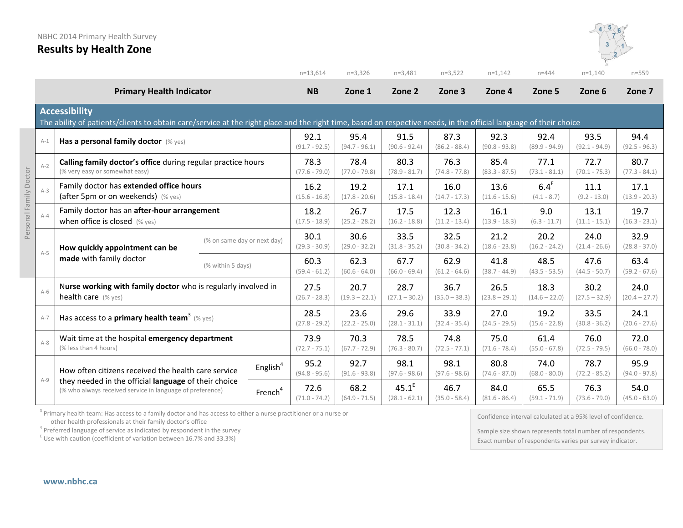

|                        |                                                                                        |                                                                                                                                                                                           |                         |                         | $n=13,614$              | $n=3,326$                   | $n=3,481$               | $n=3,522$                | $n=1,142$               | $n = 444$               | $n=1,140$               | $n = 559$               |
|------------------------|----------------------------------------------------------------------------------------|-------------------------------------------------------------------------------------------------------------------------------------------------------------------------------------------|-------------------------|-------------------------|-------------------------|-----------------------------|-------------------------|--------------------------|-------------------------|-------------------------|-------------------------|-------------------------|
|                        |                                                                                        | <b>Primary Health Indicator</b>                                                                                                                                                           |                         |                         | <b>NB</b>               | Zone 1                      | Zone 2                  | Zone 3                   | Zone 4                  | Zone 5                  | Zone 6                  | Zone 7                  |
|                        |                                                                                        | <b>Accessibility</b><br>The ability of patients/clients to obtain care/service at the right place and the right time, based on respective needs, in the official language of their choice |                         |                         |                         |                             |                         |                          |                         |                         |                         |                         |
|                        | $A-1$                                                                                  | Has a personal family doctor (% yes)                                                                                                                                                      |                         |                         | 92.1<br>$(91.7 - 92.5)$ | 95.4<br>$(94.7 - 96.1)$     | 91.5<br>$(90.6 - 92.4)$ | 87.3<br>$(86.2 - 88.4)$  | 92.3<br>$(90.8 - 93.8)$ | 92.4<br>$(89.9 - 94.9)$ | 93.5<br>$(92.1 - 94.9)$ | 94.4<br>$(92.5 - 96.3)$ |
| Personal Family Doctor | $A-2$                                                                                  | Calling family doctor's office during regular practice hours<br>(% very easy or somewhat easy)                                                                                            |                         |                         | 78.3<br>$(77.6 - 79.0)$ | 78.4<br>$(77.0 - 79.8)$     | 80.3<br>$(78.9 - 81.7)$ | 76.3<br>$(74.8 - 77.8)$  | 85.4<br>$(83.3 - 87.5)$ | 77.1<br>$(73.1 - 81.1)$ | 72.7<br>$(70.1 - 75.3)$ | 80.7<br>$(77.3 - 84.1)$ |
|                        | Family doctor has extended office hours<br>$A-3$<br>(after 5pm or on weekends) (% yes) |                                                                                                                                                                                           | 16.2<br>$(15.6 - 16.8)$ | 19.2<br>$(17.8 - 20.6)$ | 17.1<br>$(15.8 - 18.4)$ | 16.0<br>$(14.7 - 17.3)$     | 13.6<br>$(11.6 - 15.6)$ | $6.4^E$<br>$(4.1 - 8.7)$ | 11.1<br>$(9.2 - 13.0)$  | 17.1<br>$(13.9 - 20.3)$ |                         |                         |
|                        | $A-4$                                                                                  | Family doctor has an after-hour arrangement<br>when office is closed $(\%$ yes)                                                                                                           |                         |                         | 18.2<br>$(17.5 - 18.9)$ | 26.7<br>$(25.2 - 28.2)$     | 17.5<br>$(16.2 - 18.8)$ | 12.3<br>$(11.2 - 13.4)$  | 16.1<br>$(13.9 - 18.3)$ | 9.0<br>$(6.3 - 11.7)$   | 13.1<br>$(11.1 - 15.1)$ | 19.7<br>$(16.3 - 23.1)$ |
|                        | $A-5$                                                                                  | (% on same day or next day)<br>How quickly appointment can be<br>made with family doctor<br>(% within 5 days)                                                                             |                         | 30.1<br>$(29.3 - 30.9)$ | 30.6<br>$(29.0 - 32.2)$ | 33.5<br>$(31.8 - 35.2)$     | 32.5<br>$(30.8 - 34.2)$ | 21.2<br>$(18.6 - 23.8)$  | 20.2<br>$(16.2 - 24.2)$ | 24.0<br>$(21.4 - 26.6)$ | 32.9<br>$(28.8 - 37.0)$ |                         |
|                        |                                                                                        |                                                                                                                                                                                           |                         |                         | 60.3<br>$(59.4 - 61.2)$ | 62.3<br>$(60.6 - 64.0)$     | 67.7<br>$(66.0 - 69.4)$ | 62.9<br>$(61.2 - 64.6)$  | 41.8<br>$(38.7 - 44.9)$ | 48.5<br>$(43.5 - 53.5)$ | 47.6<br>$(44.5 - 50.7)$ | 63.4<br>$(59.2 - 67.6)$ |
|                        | $A-6$                                                                                  | Nurse working with family doctor who is regularly involved in<br>health care (% yes)                                                                                                      |                         |                         | 27.5<br>$(26.7 - 28.3)$ | 20.7<br>$(19.3 - 22.1)$     | 28.7<br>$(27.1 - 30.2)$ | 36.7<br>$(35.0 - 38.3)$  | 26.5<br>$(23.8 - 29.1)$ | 18.3<br>$(14.6 - 22.0)$ | 30.2<br>$(27.5 - 32.9)$ | 24.0<br>$(20.4 - 27.7)$ |
|                        | $A-7$                                                                                  | Has access to a <b>primary health team</b> <sup>3</sup> (% yes)                                                                                                                           |                         |                         | 28.5<br>$(27.8 - 29.2)$ | 23.6<br>$(22.2 - 25.0)$     | 29.6<br>$(28.1 - 31.1)$ | 33.9<br>$(32.4 - 35.4)$  | 27.0<br>$(24.5 - 29.5)$ | 19.2<br>$(15.6 - 22.8)$ | 33.5<br>$(30.8 - 36.2)$ | 24.1<br>$(20.6 - 27.6)$ |
|                        | $A-8$                                                                                  | Wait time at the hospital emergency department<br>(% less than 4 hours)                                                                                                                   |                         |                         | 73.9<br>$(72.7 - 75.1)$ | 70.3<br>$(67.7 - 72.9)$     | 78.5<br>$(76.3 - 80.7)$ | 74.8<br>$(72.5 - 77.1)$  | 75.0<br>$(71.6 - 78.4)$ | 61.4<br>$(55.0 - 67.8)$ | 76.0<br>$(72.5 - 79.5)$ | 72.0<br>$(66.0 - 78.0)$ |
|                        |                                                                                        | How often citizens received the health care service                                                                                                                                       | English <sup>4</sup>    | 95.2<br>$(94.8 - 95.6)$ | 92.7<br>$(91.6 - 93.8)$ | 98.1<br>$(97.6 - 98.6)$     | 98.1<br>$(97.6 - 98.6)$ | 80.8<br>$(74.6 - 87.0)$  | 74.0<br>$(68.0 - 80.0)$ | 78.7<br>$(72.2 - 85.2)$ | 95.9<br>$(94.0 - 97.8)$ |                         |
|                        | $A-9$                                                                                  | they needed in the official language of their choice<br>(% who always received service in language of preference)<br>French <sup>4</sup>                                                  |                         | 72.6<br>$(71.0 - 74.2)$ | 68.2<br>$(64.9 - 71.5)$ | $45.1^E$<br>$(28.1 - 62.1)$ | 46.7<br>$(35.0 - 58.4)$ | 84.0<br>$(81.6 - 86.4)$  | 65.5<br>$(59.1 - 71.9)$ | 76.3<br>$(73.6 - 79.0)$ | 54.0<br>$(45.0 - 63.0)$ |                         |

<sup>3</sup> Primary health team: Has access to a family doctor and has access to either a nurse practitioner or a nurse or other health professionals at their family doctor's office

 $4$  Preferred language of service as indicated by respondent in the survey

 $E$  Use with caution (coefficient of variation between 16.7% and 33.3%)

Confidence interval calculated at a 95% level of confidence.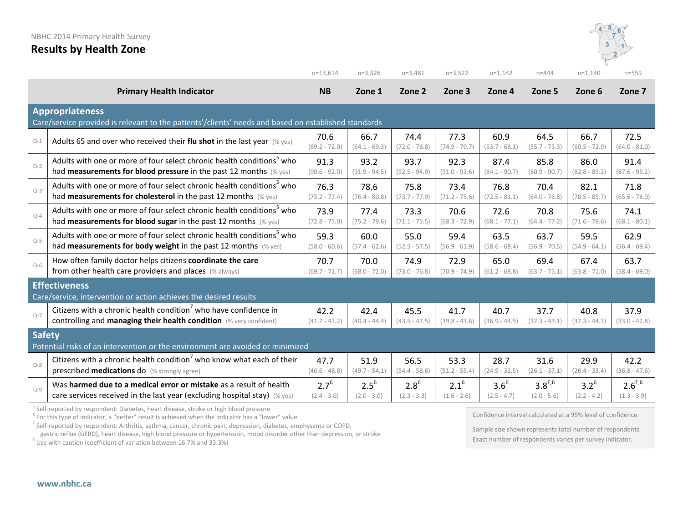

|               |                                                                                                                                | $n=13.614$              | $n=3,326$               | $n=3,481$               | $n=3,522$               | $n=1,142$               | $n = 444$               | $n=1,140$               | $n = 559$               |  |
|---------------|--------------------------------------------------------------------------------------------------------------------------------|-------------------------|-------------------------|-------------------------|-------------------------|-------------------------|-------------------------|-------------------------|-------------------------|--|
|               | <b>Primary Health Indicator</b>                                                                                                | <b>NB</b>               | Zone 1                  | Zone 2                  | Zone 3                  | Zone 4                  | Zone 5                  | Zone 6                  | Zone 7                  |  |
|               | <b>Appropriateness</b><br>Care/service provided is relevant to the patients'/clients' needs and based on established standards |                         |                         |                         |                         |                         |                         |                         |                         |  |
| $Q-1$         | Adults 65 and over who received their flu shot in the last year $(%$ yes)                                                      | 70.6<br>$(69.2 - 72.0)$ | 66.7<br>$(64.1 - 69.3)$ | 74.4<br>$(72.0 - 76.8)$ | 77.3<br>$(74.9 - 79.7)$ | 60.9<br>$(53.7 - 68.1)$ | 64.5<br>$(55.7 - 73.3)$ | 66.7<br>$(60.5 - 72.9)$ | 72.5<br>$(64.0 - 81.0)$ |  |
| $Q-2$         | Adults with one or more of four select chronic health conditions <sup>5</sup> who                                              | 91.3                    | 93.2                    | 93.7                    | 92.3                    | 87.4                    | 85.8                    | 86.0                    | 91.4                    |  |
|               | had measurements for blood pressure in the past 12 months (% yes)                                                              | $(90.6 - 92.0)$         | $(91.9 - 94.5)$         | $(92.5 - 94.9)$         | $(91.0 - 93.6)$         | $(84.1 - 90.7)$         | $(80.9 - 90.7)$         | $(82.8 - 89.2)$         | $(87.6 - 95.2)$         |  |
| $Q-3$         | Adults with one or more of four select chronic health conditions <sup>5</sup> who                                              | 76.3                    | 78.6                    | 75.8                    | 73.4                    | 76.8                    | 70.4                    | 82.1                    | 71.8                    |  |
|               | had <b>measurements for cholesterol</b> in the past 12 months (% yes)                                                          | $(75.2 - 77.4)$         | $(76.4 - 80.8)$         | $(73.7 - 77.9)$         | $(71.2 - 75.6)$         | $(72.5 - 81.1)$         | $(64.0 - 76.8)$         | $(78.5 - 85.7)$         | $(65.6 - 78.0)$         |  |
| $Q - 4$       | Adults with one or more of four select chronic health conditions <sup>5</sup> who                                              | 73.9                    | 77.4                    | 73.3                    | 70.6                    | 72.6                    | 70.8                    | 75.6                    | 74.1                    |  |
|               | had measurements for blood sugar in the past 12 months (% yes)                                                                 | $(72.8 - 75.0)$         | $(75.2 - 79.6)$         | $(71.1 - 75.5)$         | $(68.3 - 72.9)$         | $(68.1 - 77.1)$         | $(64.4 - 77.2)$         | $(71.6 - 79.6)$         | $(68.1 - 80.1)$         |  |
| $Q-5$         | Adults with one or more of four select chronic health conditions <sup>5</sup> who                                              | 59.3                    | 60.0                    | 55.0                    | 59.4                    | 63.5                    | 63.7                    | 59.5                    | 62.9                    |  |
|               | had measurements for body weight in the past 12 months (% yes)                                                                 | $(58.0 - 60.6)$         | $(57.4 - 62.6)$         | $(52.5 - 57.5)$         | $(56.9 - 61.9)$         | $(58.6 - 68.4)$         | $(56.9 - 70.5)$         | $(54.9 - 64.1)$         | $(56.4 - 69.4)$         |  |
| $Q-6$         | How often family doctor helps citizens coordinate the care                                                                     | 70.7                    | 70.0                    | 74.9                    | 72.9                    | 65.0                    | 69.4                    | 67.4                    | 63.7                    |  |
|               | from other health care providers and places (% always)                                                                         | $(69.7 - 71.7)$         | $(68.0 - 72.0)$         | $(73.0 - 76.8)$         | $(70.9 - 74.9)$         | $(61.2 - 68.8)$         | $(63.7 - 75.1)$         | $(63.8 - 71.0)$         | $(58.4 - 69.0)$         |  |
|               | <b>Effectiveness</b><br>Care/service, intervention or action achieves the desired results                                      |                         |                         |                         |                         |                         |                         |                         |                         |  |
| $Q - 7$       | Citizens with a chronic health condition <sup>7</sup> who have confidence in                                                   | 42.2                    | 42.4                    | 45.5                    | 41.7                    | 40.7                    | 37.7                    | 40.8                    | 37.9                    |  |
|               | controlling and managing their health condition (% very confident)                                                             | $(41.2 - 43.2)$         | $(40.4 - 44.4)$         | $(43.5 - 47.5)$         | $(39.8 - 43.6)$         | $(36.9 - 44.5)$         | $(32.3 - 43.1)$         | $(37.3 - 44.3)$         | $(33.0 - 42.8)$         |  |
| <b>Safety</b> | Potential risks of an intervention or the environment are avoided or minimized                                                 |                         |                         |                         |                         |                         |                         |                         |                         |  |
| $Q-8$         | Citizens with a chronic health condition <sup>7</sup> who know what each of their                                              | 47.7                    | 51.9                    | 56.5                    | 53.3                    | 28.7                    | 31.6                    | 29.9                    | 42.2                    |  |
|               | prescribed medications do (% strongly agree)                                                                                   | $(46.6 - 48.8)$         | $(49.7 - 54.1)$         | $(54.4 - 58.6)$         | $(51.2 - 55.4)$         | $(24.9 - 32.5)$         | $(26.1 - 37.1)$         | $(26.4 - 33.4)$         | $(36.8 - 47.6)$         |  |
| $Q-9$         | Was harmed due to a medical error or mistake as a result of health                                                             | $2.7^{6}$               | $2.5^{6}$               | $2.8^{6}$               | $2.1^{6}$               | $3.6^{6}$               | $3.8^{E,6}$             | $3.2^{6}$               | $2.6^{E,6}$             |  |
|               | care services received in the last year (excluding hospital stay) $(\%$ yes)                                                   | $(2.4 - 3.0)$           | $(2.0 - 3.0)$           | $(2.3 - 3.3)$           | $(1.6 - 2.6)$           | $(2.5 - 4.7)$           | $(2.0 - 5.6)$           | $(2.2 - 4.2)$           | $(1.3 - 3.9)$           |  |

<sup>5</sup> Self-reported by respondent: Diabetes, heart disease, stroke or high blood pressure<br><sup>6</sup> For this type of indicator, a "better" result is achieved when the indicator has a "lower" value

<sup>7</sup> Self-reported by respondent: Arthritis, asthma, cancer, chronic pain, depression, diabetes, emphysema or COPD,

gastric reflux (GERD), heart disease, high blood pressure or hypertension, mood disorder other than depression, or stroke E Use with caution (coefficient of variation between 16.7% and 33.3%)

Confidence interval calculated at a 95% level of confidence.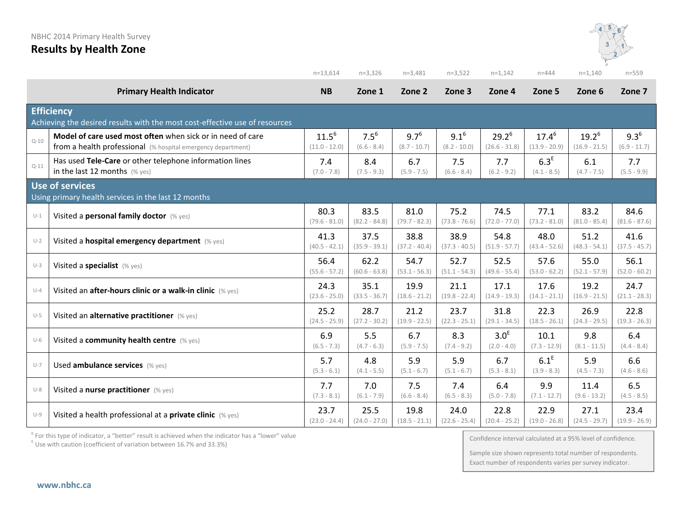

|          |                                                                                                                            | $n=13,614$                    | $n=3,326$                | $n=3,481$                   | $n=3,522$                   | $n=1,142$                         | $n = 444$                         | $n=1,140$                   | $n = 559$                   |
|----------|----------------------------------------------------------------------------------------------------------------------------|-------------------------------|--------------------------|-----------------------------|-----------------------------|-----------------------------------|-----------------------------------|-----------------------------|-----------------------------|
|          | <b>Primary Health Indicator</b>                                                                                            | <b>NB</b>                     | Zone 1                   | Zone 2                      | Zone 3                      | Zone 4                            | Zone 5                            | Zone 6                      | Zone 7                      |
|          | <b>Efficiency</b><br>Achieving the desired results with the most cost-effective use of resources                           |                               |                          |                             |                             |                                   |                                   |                             |                             |
| $Q - 10$ | Model of care used most often when sick or in need of care<br>from a health professional (% hospital emergency department) | $11.5^{6}$<br>$(11.0 - 12.0)$ | $7.5^6$<br>$(6.6 - 8.4)$ | $9.7^{6}$<br>$(8.7 - 10.7)$ | $9.1^{6}$<br>$(8.2 - 10.0)$ | $29.2^6$<br>$(26.6 - 31.8)$       | $17.4^{6}$<br>$(13.9 - 20.9)$     | $19.2^6$<br>$(16.9 - 21.5)$ | $9.3^{6}$<br>$(6.9 - 11.7)$ |
| $Q-11$   | Has used Tele-Care or other telephone information lines<br>in the last 12 months $(\%$ yes)                                | 7.4<br>$(7.0 - 7.8)$          | 8.4<br>$(7.5 - 9.3)$     | 6.7<br>$(5.9 - 7.5)$        | 7.5<br>$(6.6 - 8.4)$        | 7.7<br>$(6.2 - 9.2)$              | 6.3 <sup>E</sup><br>$(4.1 - 8.5)$ | 6.1<br>$(4.7 - 7.5)$        | 7.7<br>$(5.5 - 9.9)$        |
|          | <b>Use of services</b><br>Using primary health services in the last 12 months                                              |                               |                          |                             |                             |                                   |                                   |                             |                             |
| $U-1$    | Visited a personal family doctor (% yes)                                                                                   | 80.3<br>$(79.6 - 81.0)$       | 83.5<br>$(82.2 - 84.8)$  | 81.0<br>$(79.7 - 82.3)$     | 75.2<br>$(73.8 - 76.6)$     | 74.5<br>$(72.0 - 77.0)$           | 77.1<br>$(73.2 - 81.0)$           | 83.2<br>$(81.0 - 85.4)$     | 84.6<br>$(81.6 - 87.6)$     |
| $U-2$    | Visited a hospital emergency department (% yes)                                                                            | 41.3<br>$(40.5 - 42.1)$       | 37.5<br>$(35.9 - 39.1)$  | 38.8<br>$(37.2 - 40.4)$     | 38.9<br>$(37.3 - 40.5)$     | 54.8<br>$(51.9 - 57.7)$           | 48.0<br>$(43.4 - 52.6)$           | 51.2<br>$(48.3 - 54.1)$     | 41.6<br>$(37.5 - 45.7)$     |
| $U-3$    | Visited a specialist (% yes)                                                                                               | 56.4<br>$(55.6 - 57.2)$       | 62.2<br>$(60.6 - 63.8)$  | 54.7<br>$(53.1 - 56.3)$     | 52.7<br>$(51.1 - 54.3)$     | 52.5<br>$(49.6 - 55.4)$           | 57.6<br>$(53.0 - 62.2)$           | 55.0<br>$(52.1 - 57.9)$     | 56.1<br>$(52.0 - 60.2)$     |
| $U-4$    | Visited an after-hours clinic or a walk-in clinic (% yes)                                                                  | 24.3<br>$(23.6 - 25.0)$       | 35.1<br>$(33.5 - 36.7)$  | 19.9<br>$(18.6 - 21.2)$     | 21.1<br>$(19.8 - 22.4)$     | 17.1<br>$(14.9 - 19.3)$           | 17.6<br>$(14.1 - 21.1)$           | 19.2<br>$(16.9 - 21.5)$     | 24.7<br>$(21.1 - 28.3)$     |
| $U-5$    | Visited an alternative practitioner (% yes)                                                                                | 25.2<br>$(24.5 - 25.9)$       | 28.7<br>$(27.2 - 30.2)$  | 21.2<br>$(19.9 - 22.5)$     | 23.7<br>$(22.3 - 25.1)$     | 31.8<br>$(29.1 - 34.5)$           | 22.3<br>$(18.5 - 26.1)$           | 26.9<br>$(24.3 - 29.5)$     | 22.8<br>$(19.3 - 26.3)$     |
| $U-6$    | Visited a community health centre (% yes)                                                                                  | 6.9<br>$(6.5 - 7.3)$          | 5.5<br>$(4.7 - 6.3)$     | 6.7<br>$(5.9 - 7.5)$        | 8.3<br>$(7.4 - 9.2)$        | 3.0 <sup>E</sup><br>$(2.0 - 4.0)$ | 10.1<br>$(7.3 - 12.9)$            | 9.8<br>$(8.1 - 11.5)$       | 6.4<br>$(4.4 - 8.4)$        |
| $U-7$    | Used ambulance services (% yes)                                                                                            | 5.7<br>$(5.3 - 6.1)$          | 4.8<br>$(4.1 - 5.5)$     | 5.9<br>$(5.1 - 6.7)$        | 5.9<br>$(5.1 - 6.7)$        | 6.7<br>$(5.3 - 8.1)$              | $6.1^E$<br>$(3.9 - 8.3)$          | 5.9<br>$(4.5 - 7.3)$        | 6.6<br>$(4.6 - 8.6)$        |
| $U-8$    | Visited a nurse practitioner (% yes)                                                                                       | 7.7<br>$(7.3 - 8.1)$          | 7.0<br>$(6.1 - 7.9)$     | 7.5<br>$(6.6 - 8.4)$        | 7.4<br>$(6.5 - 8.3)$        | 6.4<br>$(5.0 - 7.8)$              | 9.9<br>$(7.1 - 12.7)$             | 11.4<br>$(9.6 - 13.2)$      | 6.5<br>$(4.5 - 8.5)$        |
| $U-9$    | Visited a health professional at a private clinic (% yes)                                                                  | 23.7<br>$(23.0 - 24.4)$       | 25.5<br>$(24.0 - 27.0)$  | 19.8<br>$(18.5 - 21.1)$     | 24.0<br>$(22.6 - 25.4)$     | 22.8<br>$(20.4 - 25.2)$           | 22.9<br>$(19.0 - 26.8)$           | 27.1<br>$(24.5 - 29.7)$     | 23.4<br>$(19.9 - 26.9)$     |

 $<sup>6</sup>$  For this type of indicator, a "better" result is achieved when the indicator has a "lower" value</sup>

 $E$  Use with caution (coefficient of variation between 16.7% and 33.3%)

Confidence interval calculated at a 95% level of confidence.